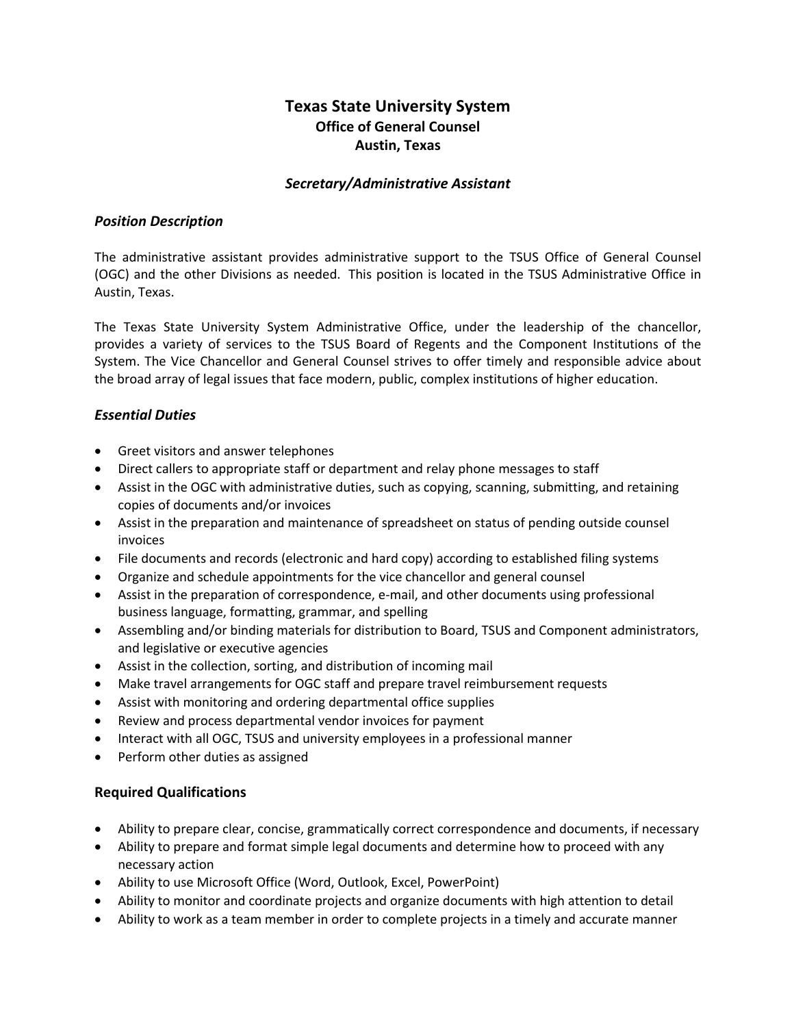# **Texas State University System Office of General Counsel Austin, Texas**

### *Secretary/Administrative Assistant*

#### *Position Description*

The administrative assistant provides administrative support to the TSUS Office of General Counsel (OGC) and the other Divisions as needed. This position is located in the TSUS Administrative Office in Austin, Texas.

The Texas State University System Administrative Office, under the leadership of the chancellor, provides a variety of services to the TSUS Board of Regents and the Component Institutions of the System. The Vice Chancellor and General Counsel strives to offer timely and responsible advice about the broad array of legal issues that face modern, public, complex institutions of higher education.

# *Essential Duties*

- Greet visitors and answer telephones
- Direct callers to appropriate staff or department and relay phone messages to staff
- Assist in the OGC with administrative duties, such as copying, scanning, submitting, and retaining copies of documents and/or invoices
- Assist in the preparation and maintenance of spreadsheet on status of pending outside counsel invoices
- File documents and records (electronic and hard copy) according to established filing systems
- Organize and schedule appointments for the vice chancellor and general counsel
- Assist in the preparation of correspondence, e-mail, and other documents using professional business language, formatting, grammar, and spelling
- Assembling and/or binding materials for distribution to Board, TSUS and Component administrators, and legislative or executive agencies
- Assist in the collection, sorting, and distribution of incoming mail
- Make travel arrangements for OGC staff and prepare travel reimbursement requests
- Assist with monitoring and ordering departmental office supplies
- Review and process departmental vendor invoices for payment
- Interact with all OGC, TSUS and university employees in a professional manner
- Perform other duties as assigned

# **Required Qualifications**

- Ability to prepare clear, concise, grammatically correct correspondence and documents, if necessary
- Ability to prepare and format simple legal documents and determine how to proceed with any necessary action
- Ability to use Microsoft Office (Word, Outlook, Excel, PowerPoint)
- Ability to monitor and coordinate projects and organize documents with high attention to detail
- Ability to work as a team member in order to complete projects in a timely and accurate manner